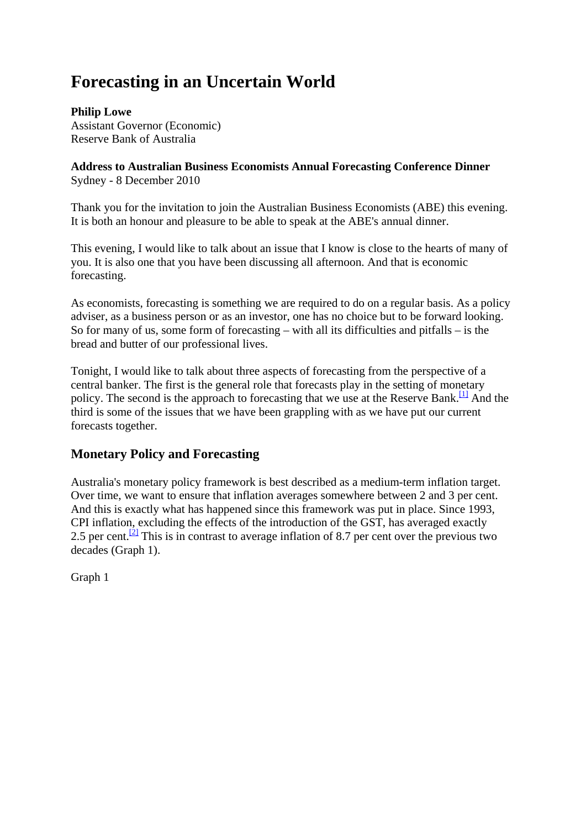# **Forecasting in an Uncertain World**

**Philip Lowe** Assistant Governor (Economic) Reserve Bank of Australia

**Address to Australian Business Economists Annual Forecasting Conference Dinner** Sydney - 8 December 2010

Thank you for the invitation to join the Australian Business Economists (ABE) this evening. It is both an honour and pleasure to be able to speak at the ABE's annual dinner.

This evening, I would like to talk about an issue that I know is close to the hearts of many of you. It is also one that you have been discussing all afternoon. And that is economic forecasting.

As economists, forecasting is something we are required to do on a regular basis. As a policy adviser, as a business person or as an investor, one has no choice but to be forward looking. So for many of us, some form of forecasting – with all its difficulties and pitfalls – is the bread and butter of our professional lives.

Tonight, I would like to talk about three aspects of forecasting from the perspective of a central banker. The first is the general role that forecasts play in the setting of monetary policy. The second is the approach to forecasting that we use at the Reserve Bank.<sup>[1]</sup> And the third is some of the issues that we have been grappling with as we have put our current forecasts together.

# **Monetary Policy and Forecasting**

Australia's monetary policy framework is best described as a medium-term inflation target. Over time, we want to ensure that inflation averages somewhere between 2 and 3 per cent. And this is exactly what has happened since this framework was put in place. Since 1993, CPI inflation, excluding the effects of the introduction of the GST, has averaged exactly 2.5 per cent.<sup>[2]</sup> This is in contrast to average inflation of 8.7 per cent over the previous two decades (Graph 1).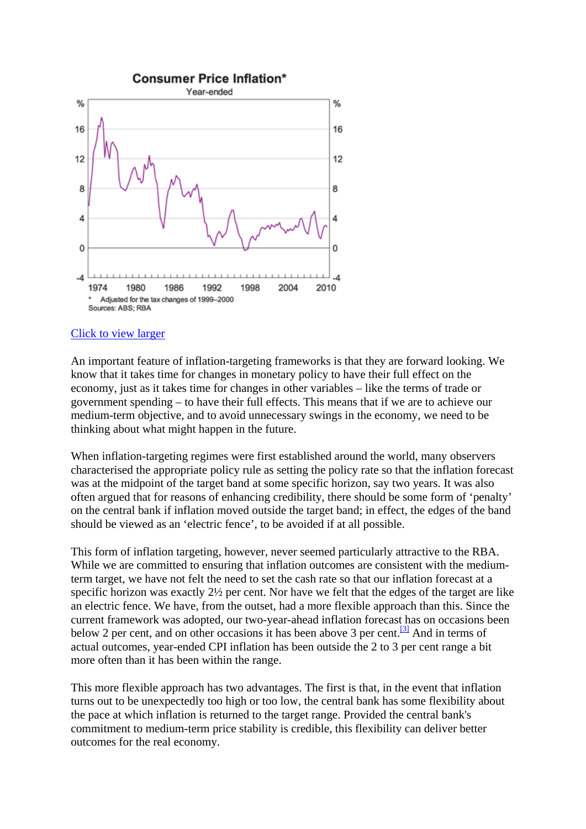

An important feature of inflation-targeting frameworks is that they are forward looking. We know that it takes time for changes in monetary policy to have their full effect on the economy, just as it takes time for changes in other variables – like the terms of trade or government spending – to have their full effects. This means that if we are to achieve our medium-term objective, and to avoid unnecessary swings in the economy, we need to be thinking about what might happen in the future.

When inflation-targeting regimes were first established around the world, many observers characterised the appropriate policy rule as setting the policy rate so that the inflation forecast was at the midpoint of the target band at some specific horizon, say two years. It was also often argued that for reasons of enhancing credibility, there should be some form of 'penalty' on the central bank if inflation moved outside the target band; in effect, the edges of the band should be viewed as an 'electric fence', to be avoided if at all possible.

This form of inflation targeting, however, never seemed particularly attractive to the RBA. While we are committed to ensuring that inflation outcomes are consistent with the mediumterm target, we have not felt the need to set the cash rate so that our inflation forecast at a specific horizon was exactly 2½ per cent. Nor have we felt that the edges of the target are like an electric fence. We have, from the outset, had a more flexible approach than this. Since the current framework was adopted, our two-year-ahead inflation forecast has on occasions been below 2 per cent, and on other occasions it has been above 3 per cent.<sup>[3]</sup> And in terms of actual outcomes, year-ended CPI inflation has been outside the 2 to 3 per cent range a bit more often than it has been within the range.

This more flexible approach has two advantages. The first is that, in the event that inflation turns out to be unexpectedly too high or too low, the central bank has some flexibility about the pace at which inflation is returned to the target range. Provided the central bank's commitment to medium-term price stability is credible, this flexibility can deliver better outcomes for the real economy.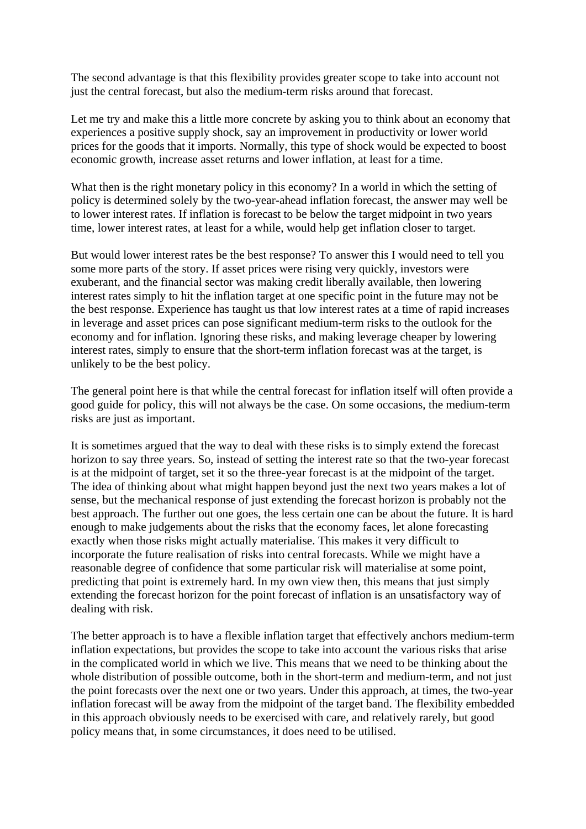The second advantage is that this flexibility provides greater scope to take into account not just the central forecast, but also the medium-term risks around that forecast.

Let me try and make this a little more concrete by asking you to think about an economy that experiences a positive supply shock, say an improvement in productivity or lower world prices for the goods that it imports. Normally, this type of shock would be expected to boost economic growth, increase asset returns and lower inflation, at least for a time.

What then is the right monetary policy in this economy? In a world in which the setting of policy is determined solely by the two-year-ahead inflation forecast, the answer may well be to lower interest rates. If inflation is forecast to be below the target midpoint in two years time, lower interest rates, at least for a while, would help get inflation closer to target.

But would lower interest rates be the best response? To answer this I would need to tell you some more parts of the story. If asset prices were rising very quickly, investors were exuberant, and the financial sector was making credit liberally available, then lowering interest rates simply to hit the inflation target at one specific point in the future may not be the best response. Experience has taught us that low interest rates at a time of rapid increases in leverage and asset prices can pose significant medium-term risks to the outlook for the economy and for inflation. Ignoring these risks, and making leverage cheaper by lowering interest rates, simply to ensure that the short-term inflation forecast was at the target, is unlikely to be the best policy.

The general point here is that while the central forecast for inflation itself will often provide a good guide for policy, this will not always be the case. On some occasions, the medium-term risks are just as important.

It is sometimes argued that the way to deal with these risks is to simply extend the forecast horizon to say three years. So, instead of setting the interest rate so that the two-year forecast is at the midpoint of target, set it so the three-year forecast is at the midpoint of the target. The idea of thinking about what might happen beyond just the next two years makes a lot of sense, but the mechanical response of just extending the forecast horizon is probably not the best approach. The further out one goes, the less certain one can be about the future. It is hard enough to make judgements about the risks that the economy faces, let alone forecasting exactly when those risks might actually materialise. This makes it very difficult to incorporate the future realisation of risks into central forecasts. While we might have a reasonable degree of confidence that some particular risk will materialise at some point, predicting that point is extremely hard. In my own view then, this means that just simply extending the forecast horizon for the point forecast of inflation is an unsatisfactory way of dealing with risk.

The better approach is to have a flexible inflation target that effectively anchors medium-term inflation expectations, but provides the scope to take into account the various risks that arise in the complicated world in which we live. This means that we need to be thinking about the whole distribution of possible outcome, both in the short-term and medium-term, and not just the point forecasts over the next one or two years. Under this approach, at times, the two-year inflation forecast will be away from the midpoint of the target band. The flexibility embedded in this approach obviously needs to be exercised with care, and relatively rarely, but good policy means that, in some circumstances, it does need to be utilised.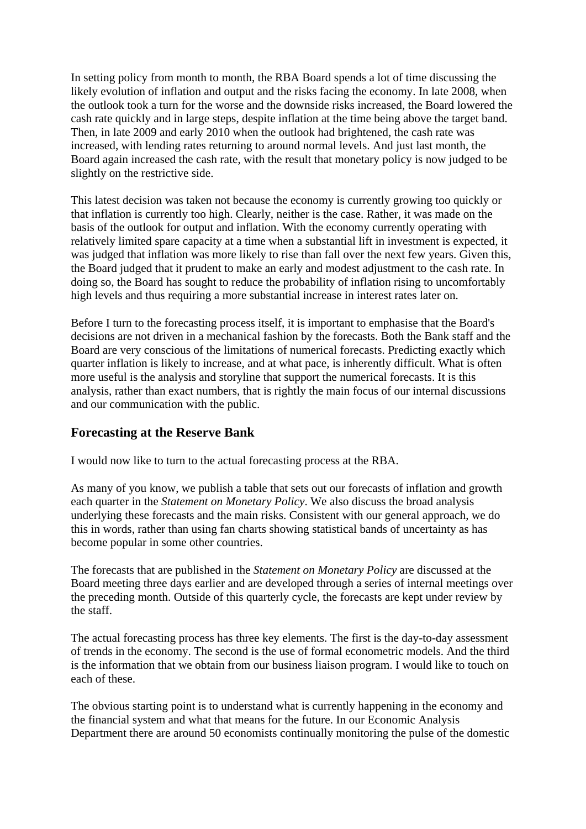In setting policy from month to month, the RBA Board spends a lot of time discussing the likely evolution of inflation and output and the risks facing the economy. In late 2008, when the outlook took a turn for the worse and the downside risks increased, the Board lowered the cash rate quickly and in large steps, despite inflation at the time being above the target band. Then, in late 2009 and early 2010 when the outlook had brightened, the cash rate was increased, with lending rates returning to around normal levels. And just last month, the Board again increased the cash rate, with the result that monetary policy is now judged to be slightly on the restrictive side.

This latest decision was taken not because the economy is currently growing too quickly or that inflation is currently too high. Clearly, neither is the case. Rather, it was made on the basis of the outlook for output and inflation. With the economy currently operating with relatively limited spare capacity at a time when a substantial lift in investment is expected, it was judged that inflation was more likely to rise than fall over the next few years. Given this, the Board judged that it prudent to make an early and modest adjustment to the cash rate. In doing so, the Board has sought to reduce the probability of inflation rising to uncomfortably high levels and thus requiring a more substantial increase in interest rates later on.

Before I turn to the forecasting process itself, it is important to emphasise that the Board's decisions are not driven in a mechanical fashion by the forecasts. Both the Bank staff and the Board are very conscious of the limitations of numerical forecasts. Predicting exactly which quarter inflation is likely to increase, and at what pace, is inherently difficult. What is often more useful is the analysis and storyline that support the numerical forecasts. It is this analysis, rather than exact numbers, that is rightly the main focus of our internal discussions and our communication with the public.

# **Forecasting at the Reserve Bank**

I would now like to turn to the actual forecasting process at the RBA.

As many of you know, we publish a table that sets out our forecasts of inflation and growth each quarter in the *Statement on Monetary Policy*. We also discuss the broad analysis underlying these forecasts and the main risks. Consistent with our general approach, we do this in words, rather than using fan charts showing statistical bands of uncertainty as has become popular in some other countries.

The forecasts that are published in the *Statement on Monetary Policy* are discussed at the Board meeting three days earlier and are developed through a series of internal meetings over the preceding month. Outside of this quarterly cycle, the forecasts are kept under review by the staff.

The actual forecasting process has three key elements. The first is the day-to-day assessment of trends in the economy. The second is the use of formal econometric models. And the third is the information that we obtain from our business liaison program. I would like to touch on each of these.

The obvious starting point is to understand what is currently happening in the economy and the financial system and what that means for the future. In our Economic Analysis Department there are around 50 economists continually monitoring the pulse of the domestic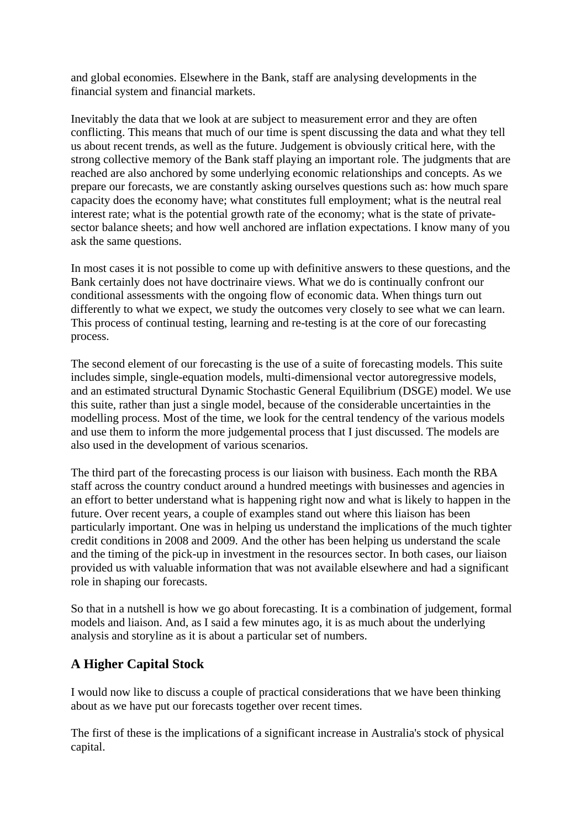and global economies. Elsewhere in the Bank, staff are analysing developments in the financial system and financial markets.

Inevitably the data that we look at are subject to measurement error and they are often conflicting. This means that much of our time is spent discussing the data and what they tell us about recent trends, as well as the future. Judgement is obviously critical here, with the strong collective memory of the Bank staff playing an important role. The judgments that are reached are also anchored by some underlying economic relationships and concepts. As we prepare our forecasts, we are constantly asking ourselves questions such as: how much spare capacity does the economy have; what constitutes full employment; what is the neutral real interest rate; what is the potential growth rate of the economy; what is the state of privatesector balance sheets; and how well anchored are inflation expectations. I know many of you ask the same questions.

In most cases it is not possible to come up with definitive answers to these questions, and the Bank certainly does not have doctrinaire views. What we do is continually confront our conditional assessments with the ongoing flow of economic data. When things turn out differently to what we expect, we study the outcomes very closely to see what we can learn. This process of continual testing, learning and re-testing is at the core of our forecasting process.

The second element of our forecasting is the use of a suite of forecasting models. This suite includes simple, single-equation models, multi-dimensional vector autoregressive models, and an estimated structural Dynamic Stochastic General Equilibrium (DSGE) model. We use this suite, rather than just a single model, because of the considerable uncertainties in the modelling process. Most of the time, we look for the central tendency of the various models and use them to inform the more judgemental process that I just discussed. The models are also used in the development of various scenarios.

The third part of the forecasting process is our liaison with business. Each month the RBA staff across the country conduct around a hundred meetings with businesses and agencies in an effort to better understand what is happening right now and what is likely to happen in the future. Over recent years, a couple of examples stand out where this liaison has been particularly important. One was in helping us understand the implications of the much tighter credit conditions in 2008 and 2009. And the other has been helping us understand the scale and the timing of the pick-up in investment in the resources sector. In both cases, our liaison provided us with valuable information that was not available elsewhere and had a significant role in shaping our forecasts.

So that in a nutshell is how we go about forecasting. It is a combination of judgement, formal models and liaison. And, as I said a few minutes ago, it is as much about the underlying analysis and storyline as it is about a particular set of numbers.

# **A Higher Capital Stock**

I would now like to discuss a couple of practical considerations that we have been thinking about as we have put our forecasts together over recent times.

The first of these is the implications of a significant increase in Australia's stock of physical capital.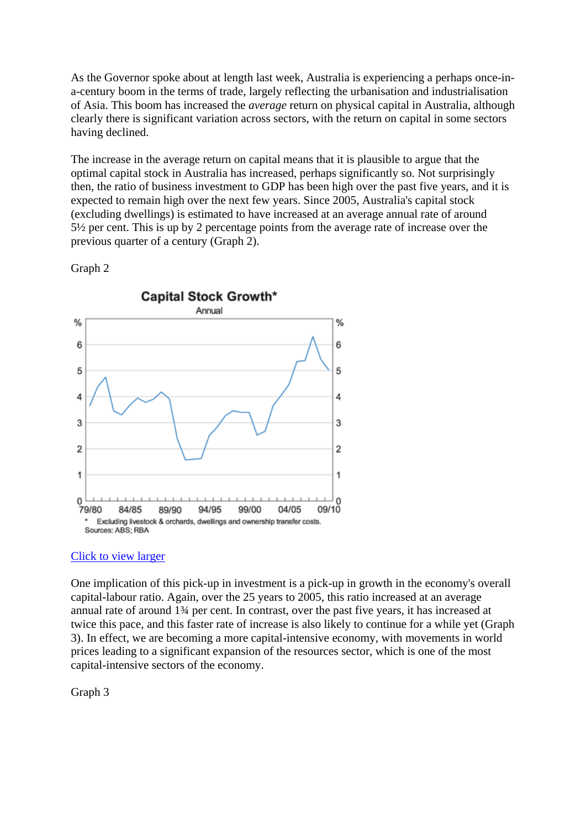As the Governor spoke about at length last week, Australia is experiencing a perhaps once-ina-century boom in the terms of trade, largely reflecting the urbanisation and industrialisation of Asia. This boom has increased the *average* return on physical capital in Australia, although clearly there is significant variation across sectors, with the return on capital in some sectors having declined.

The increase in the average return on capital means that it is plausible to argue that the optimal capital stock in Australia has increased, perhaps significantly so. Not surprisingly then, the ratio of business investment to GDP has been high over the past five years, and it is expected to remain high over the next few years. Since 2005, Australia's capital stock (excluding dwellings) is estimated to have increased at an average annual rate of around 5½ per cent. This is up by 2 percentage points from the average rate of increase over the previous quarter of a century (Graph 2).



Graph 2

### Click to view larger

One implication of this pick-up in investment is a pick-up in growth in the economy's overall capital-labour ratio. Again, over the 25 years to 2005, this ratio increased at an average annual rate of around 1¾ per cent. In contrast, over the past five years, it has increased at twice this pace, and this faster rate of increase is also likely to continue for a while yet (Graph 3). In effect, we are becoming a more capital-intensive economy, with movements in world prices leading to a significant expansion of the resources sector, which is one of the most capital-intensive sectors of the economy.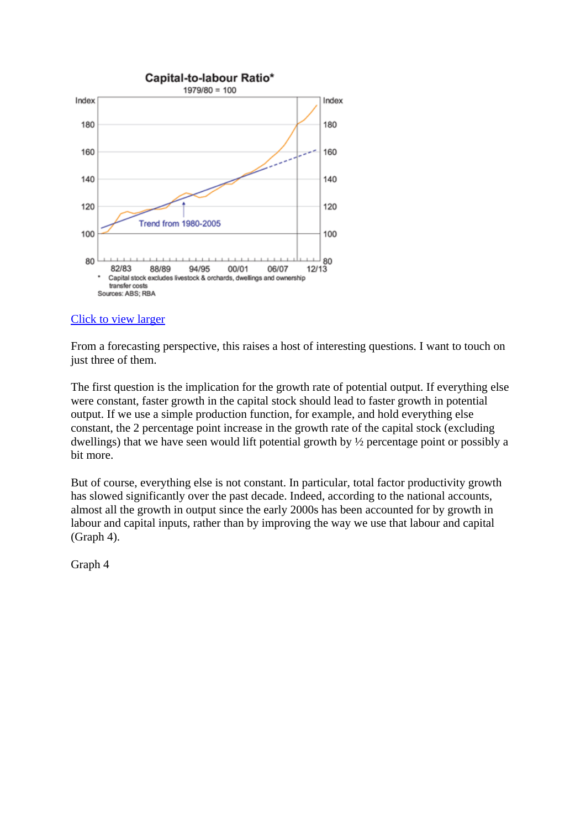

From a forecasting perspective, this raises a host of interesting questions. I want to touch on just three of them.

The first question is the implication for the growth rate of potential output. If everything else were constant, faster growth in the capital stock should lead to faster growth in potential output. If we use a simple production function, for example, and hold everything else constant, the 2 percentage point increase in the growth rate of the capital stock (excluding dwellings) that we have seen would lift potential growth by ½ percentage point or possibly a bit more.

But of course, everything else is not constant. In particular, total factor productivity growth has slowed significantly over the past decade. Indeed, according to the national accounts, almost all the growth in output since the early 2000s has been accounted for by growth in labour and capital inputs, rather than by improving the way we use that labour and capital (Graph 4).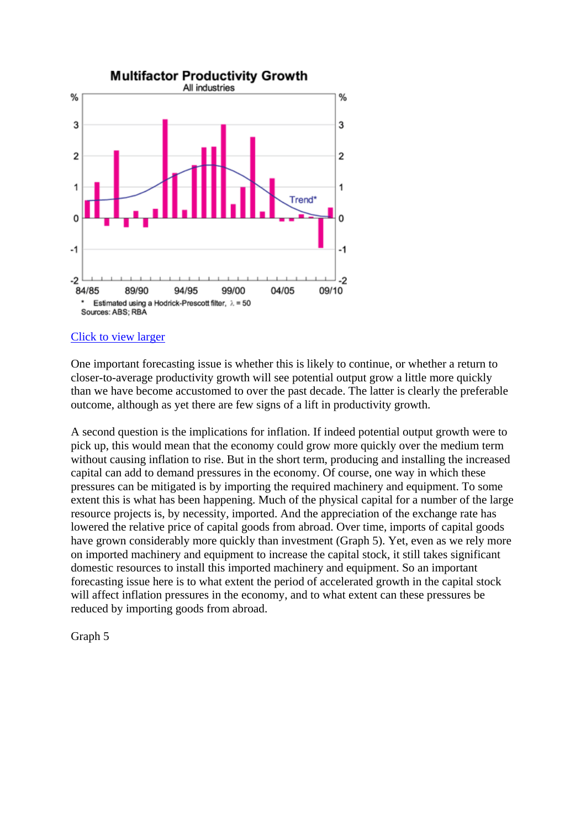

One important forecasting issue is whether this is likely to continue, or whether a return to closer-to-average productivity growth will see potential output grow a little more quickly than we have become accustomed to over the past decade. The latter is clearly the preferable outcome, although as yet there are few signs of a lift in productivity growth.

A second question is the implications for inflation. If indeed potential output growth were to pick up, this would mean that the economy could grow more quickly over the medium term without causing inflation to rise. But in the short term, producing and installing the increased capital can add to demand pressures in the economy. Of course, one way in which these pressures can be mitigated is by importing the required machinery and equipment. To some extent this is what has been happening. Much of the physical capital for a number of the large resource projects is, by necessity, imported. And the appreciation of the exchange rate has lowered the relative price of capital goods from abroad. Over time, imports of capital goods have grown considerably more quickly than investment (Graph 5). Yet, even as we rely more on imported machinery and equipment to increase the capital stock, it still takes significant domestic resources to install this imported machinery and equipment. So an important forecasting issue here is to what extent the period of accelerated growth in the capital stock will affect inflation pressures in the economy, and to what extent can these pressures be reduced by importing goods from abroad.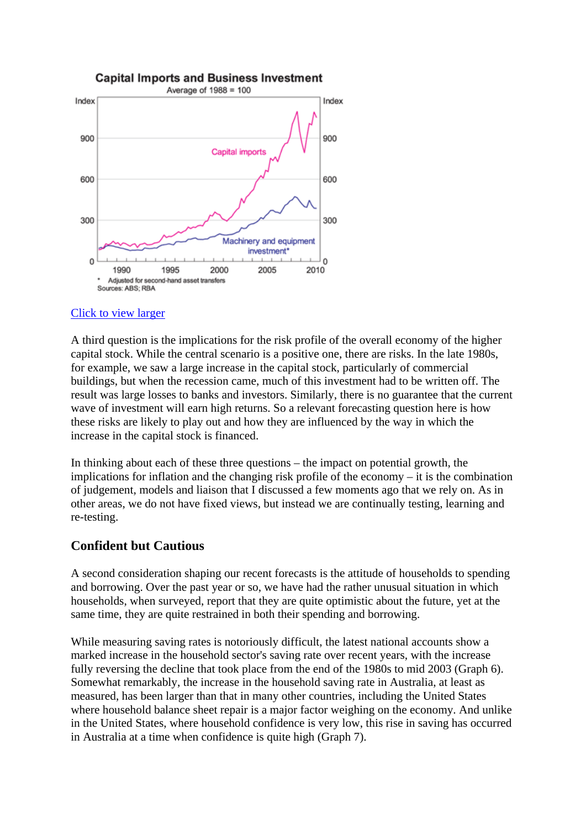

A third question is the implications for the risk profile of the overall economy of the higher capital stock. While the central scenario is a positive one, there are risks. In the late 1980s, for example, we saw a large increase in the capital stock, particularly of commercial buildings, but when the recession came, much of this investment had to be written off. The result was large losses to banks and investors. Similarly, there is no guarantee that the current wave of investment will earn high returns. So a relevant forecasting question here is how these risks are likely to play out and how they are influenced by the way in which the increase in the capital stock is financed.

In thinking about each of these three questions – the impact on potential growth, the implications for inflation and the changing risk profile of the economy – it is the combination of judgement, models and liaison that I discussed a few moments ago that we rely on. As in other areas, we do not have fixed views, but instead we are continually testing, learning and re-testing.

## **Confident but Cautious**

A second consideration shaping our recent forecasts is the attitude of households to spending and borrowing. Over the past year or so, we have had the rather unusual situation in which households, when surveyed, report that they are quite optimistic about the future, yet at the same time, they are quite restrained in both their spending and borrowing.

While measuring saving rates is notoriously difficult, the latest national accounts show a marked increase in the household sector's saving rate over recent years, with the increase fully reversing the decline that took place from the end of the 1980s to mid 2003 (Graph 6). Somewhat remarkably, the increase in the household saving rate in Australia, at least as measured, has been larger than that in many other countries, including the United States where household balance sheet repair is a major factor weighing on the economy. And unlike in the United States, where household confidence is very low, this rise in saving has occurred in Australia at a time when confidence is quite high (Graph 7).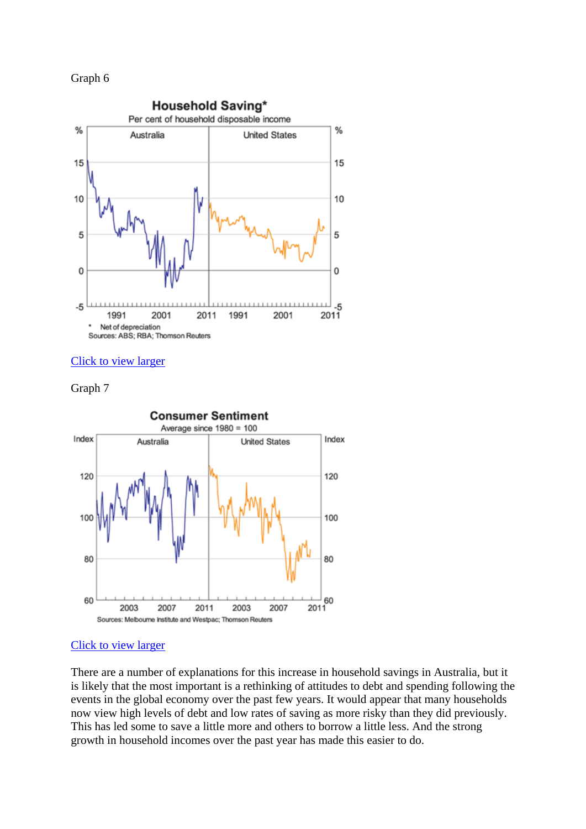## Graph 6



#### Click to view larger





#### Click to view larger

There are a number of explanations for this increase in household savings in Australia, but it is likely that the most important is a rethinking of attitudes to debt and spending following the events in the global economy over the past few years. It would appear that many households now view high levels of debt and low rates of saving as more risky than they did previously. This has led some to save a little more and others to borrow a little less. And the strong growth in household incomes over the past year has made this easier to do.